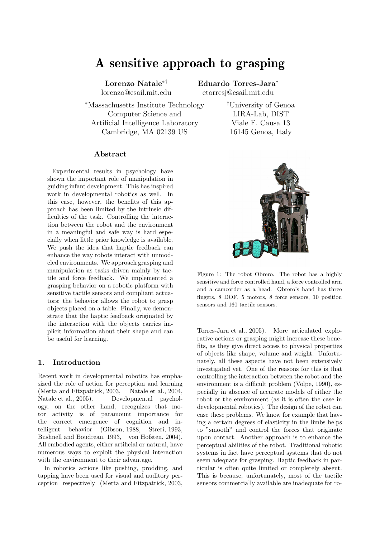# A sensitive approach to grasping

Lorenzo Natale∗† lorenzo@csail.mit.edu

Eduardo Torres-Jara<sup>∗</sup> etorresj@csail.mit.edu

<sup>∗</sup>Massachusetts Institute Technology Computer Science and Artificial Intelligence Laboratory Cambridge, MA 02139 US

#### Abstract

Experimental results in psychology have shown the important role of manipulation in guiding infant development. This has inspired work in developmental robotics as well. In this case, however, the benefits of this approach has been limited by the intrinsic difficulties of the task. Controlling the interaction between the robot and the environment in a meaningful and safe way is hard especially when little prior knowledge is available. We push the idea that haptic feedback can enhance the way robots interact with unmodeled environments. We approach grasping and manipulation as tasks driven mainly by tactile and force feedback. We implemented a grasping behavior on a robotic platform with sensitive tactile sensors and compliant actuators; the behavior allows the robot to grasp objects placed on a table. Finally, we demonstrate that the haptic feedback originated by the interaction with the objects carries implicit information about their shape and can be useful for learning.

# 1. Introduction

Recent work in developmental robotics has emphasized the role of action for perception and learning (Metta and Fitzpatrick, 2003, Natale et al., 2004, Natale et al., 2005). Developmental psychology, on the other hand, recognizes that motor activity is of paramount importance for the correct emergence of cognition and intelligent behavior (Gibson, 1988, Streri, 1993, Bushnell and Boudreau, 1993, von Hofsten, 2004). All embodied agents, either artificial or natural, have numerous ways to exploit the physical interaction with the environment to their advantage.

In robotics actions like pushing, prodding, and tapping have been used for visual and auditory perception respectively (Metta and Fitzpatrick, 2003,

†University of Genoa LIRA-Lab, DIST Viale F. Causa 13 16145 Genoa, Italy



Figure 1: The robot Obrero. The robot has a highly sensitive and force controlled hand, a force controlled arm and a camcorder as a head. Obrero's hand has three fingers, 8 DOF, 5 motors, 8 force sensors, 10 position sensors and 160 tactile sensors.

Torres-Jara et al., 2005). More articulated explorative actions or grasping might increase these benefits, as they give direct access to physical properties of objects like shape, volume and weight. Unfortunately, all these aspects have not been extensively investigated yet. One of the reasons for this is that controlling the interaction between the robot and the environment is a difficult problem (Volpe, 1990), especially in absence of accurate models of either the robot or the environment (as it is often the case in developmental robotics). The design of the robot can ease these problems. We know for example that having a certain degrees of elasticity in the limbs helps to "smooth" and control the forces that originate upon contact. Another approach is to enhance the perceptual abilities of the robot. Traditional robotic systems in fact have perceptual systems that do not seem adequate for grasping. Haptic feedback in particular is often quite limited or completely absent. This is because, unfortunately, most of the tactile sensors commercially available are inadequate for ro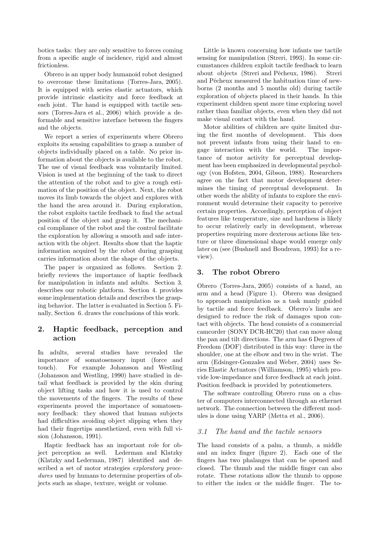botics tasks: they are only sensitive to forces coming from a specific angle of incidence, rigid and almost frictionless.

Obrero is an upper body humanoid robot designed to overcome these limitations (Torres-Jara, 2005). It is equipped with series elastic actuators, which provide intrinsic elasticity and force feedback at each joint. The hand is equipped with tactile sensors (Torres-Jara et al., 2006) which provide a deformable and sensitive interface between the fingers and the objects.

We report a series of experiments where Obrero exploits its sensing capabilities to grasp a number of objects individually placed on a table. No prior information about the objects is available to the robot. The use of visual feedback was voluntarily limited. Vision is used at the beginning of the task to direct the attention of the robot and to give a rough estimation of the position of the object. Next, the robot moves its limb towards the object and explores with the hand the area around it. During exploration, the robot exploits tactile feedback to find the actual position of the object and grasp it. The mechanical compliance of the robot and the control facilitate the exploration by allowing a smooth and safe interaction with the object. Results show that the haptic information acquired by the robot during grasping carries information about the shape of the objects.

The paper is organized as follows. Section 2. briefly reviews the importance of haptic feedback for manipulation in infants and adults. Section 3. describes our robotic platform. Section 4. provides some implementation details and describes the grasping behavior. The latter is evaluated in Section 5. Finally, Section 6. draws the conclusions of this work.

# 2. Haptic feedback, perception and action

In adults, several studies have revealed the importance of somatosensory input (force and touch). For example Johansson and Westling (Johansson and Westling, 1990) have studied in detail what feedback is provided by the skin during object lifting tasks and how it is used to control the movements of the fingers. The results of these experiments proved the importance of somatosensory feedback: they showed that human subjects had difficulties avoiding object slipping when they had their fingertips anesthetized, even with full vision (Johansson, 1991).

Haptic feedback has an important role for object perception as well. Lederman and Klatzky (Klatzky and Lederman, 1987) identified and described a set of motor strategies *exploratory proce*dures used by humans to determine properties of objects such as shape, texture, weight or volume.

Little is known concerning how infants use tactile sensing for manipulation (Streri, 1993). In some circumstances children exploit tactile feedback to learn about objects (Streri and Pêcheux, 1986). Streri and Pêcheux measured the habituation time of newborns (2 months and 5 months old) during tactile exploration of objects placed in their hands. In this experiment children spent more time exploring novel rather than familiar objects, even when they did not make visual contact with the hand.

Motor abilities of children are quite limited during the first months of development. This does not prevent infants from using their hand to engage interaction with the world. The importance of motor activity for perceptual development has been emphasized in developmental psychology (von Hofsten, 2004, Gibson, 1988). Researchers agree on the fact that motor development determines the timing of perceptual development. In other words the ability of infants to explore the environment would determine their capacity to perceive certain properties. Accordingly, perception of object features like temperature, size and hardness is likely to occur relatively early in development, whereas properties requiring more dexterous actions like texture or three dimensional shape would emerge only later on (see (Bushnell and Boudreau, 1993) for a review).

# 3. The robot Obrero

Obrero (Torres-Jara, 2005) consists of a hand, an arm and a head (Figure 1). Obrero was designed to approach manipulation as a task manly guided by tactile and force feedback. Obrero's limbs are designed to reduce the risk of damages upon contact with objects. The head consists of a commercial camcorder (SONY DCR-HC20) that can move along the pan and tilt directions. The arm has 6 Degrees of Freedom (DOF) distributed in this way: three in the shoulder, one at the elbow and two in the wrist. The arm (Edsinger-Gonzales and Weber, 2004) uses Series Elastic Actuators (Williamson, 1995) which provide low-impedance and force feedback at each joint. Position feedback is provided by potentiometers.

The software controlling Obrero runs on a cluster of computers interconnected through an ethernet network. The connection between the different modules is done using YARP (Metta et al., 2006).

### 3.1 The hand and the tactile sensors

The hand consists of a palm, a thumb, a middle and an index finger (figure 2). Each one of the fingers has two phalanges that can be opened and closed. The thumb and the middle finger can also rotate. These rotations allow the thumb to oppose to either the index or the middle finger. The to-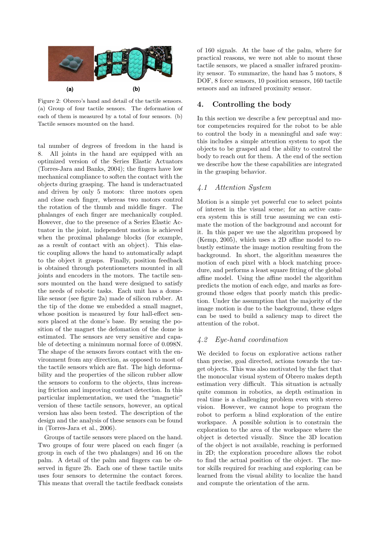

Figure 2: Obrero's hand and detail of the tactile sensors. (a) Group of four tactile sensors. The deformation of each of them is measured by a total of four sensors. (b) Tactile sensors mounted on the hand.

tal number of degrees of freedom in the hand is 8. All joints in the hand are equipped with an optimized version of the Series Elastic Actuators (Torres-Jara and Banks, 2004); the fingers have low mechanical compliance to soften the contact with the objects during grasping. The hand is underactuated and driven by only 5 motors: three motors open and close each finger, whereas two motors control the rotation of the thumb and middle finger. The phalanges of each finger are mechanically coupled. However, due to the presence of a Series Elastic Actuator in the joint, independent motion is achieved when the proximal phalange blocks (for example, as a result of contact with an object). This elastic coupling allows the hand to automatically adapt to the object it grasps. Finally, position feedback is obtained through potentiometers mounted in all joints and encoders in the motors. The tactile sensors mounted on the hand were designed to satisfy the needs of robotic tasks. Each unit has a domelike sensor (see figure 2a) made of silicon rubber. At the tip of the dome we embedded a small magnet, whose position is measured by four hall-effect sensors placed at the dome's base. By sensing the position of the magnet the defomation of the dome is estimated. The sensors are very sensitive and capable of detecting a minimum normal force of 0.098N. The shape of the sensors favors contact with the environment from any direction, as opposed to most of the tactile sensors which are flat. The high deformability and the properties of the silicon rubber allow the sensors to conform to the objects, thus increasing friction and improving contact detection. In this particular implementation, we used the "magnetic" version of these tactile sensors, however, an optical version has also been tested. The description of the design and the analysis of these sensors can be found in (Torres-Jara et al., 2006).

Groups of tactile sensors were placed on the hand. Two groups of four were placed on each finger (a group in each of the two phalanges) and 16 on the palm. A detail of the palm and fingers can be observed in figure 2b. Each one of these tactile units uses four sensors to determine the contact forces. This means that overall the tactile feedback consists

of 160 signals. At the base of the palm, where for practical reasons, we were not able to mount these tactile sensors, we placed a smaller infrared proximity sensor. To summarize, the hand has 5 motors, 8 DOF, 8 force sensors, 10 position sensors, 160 tactile sensors and an infrared proximity sensor.

# 4. Controlling the body

In this section we describe a few perceptual and motor competencies required for the robot to be able to control the body in a meaningful and safe way: this includes a simple attention system to spot the objects to be grasped and the ability to control the body to reach out for them. A the end of the section we describe how the these capabilities are integrated in the grasping behavior.

# 4.1 Attention System

Motion is a simple yet powerful cue to select points of interest in the visual scene; for an active camera system this is still true assuming we can estimate the motion of the background and account for it. In this paper we use the algorithm proposed by (Kemp, 2005), which uses a 2D affine model to robustly estimate the image motion resulting from the background. In short, the algorithm measures the motion of each pixel with a block matching procedure, and performs a least square fitting of the global affine model. Using the affine model the algorithm predicts the motion of each edge, and marks as foreground those edges that poorly match this prediction. Under the assumption that the majority of the image motion is due to the background, these edges can be used to build a saliency map to direct the attention of the robot.

# 4.2 Eye-hand coordination

We decided to focus on explorative actions rather than precise, goal directed, actions towards the target objects. This was also motivated by the fact that the monocular visual system of Obrero makes depth estimation very difficult. This situation is actually quite common in robotics, as depth estimation in real time is a challenging problem even with stereo vision. However, we cannot hope to program the robot to perform a blind exploration of the entire workspace. A possible solution is to constrain the exploration to the area of the workspace where the object is detected visually. Since the 3D location of the object is not available, reaching is performed in 2D; the exploration procedure allows the robot to find the actual position of the object. The motor skills required for reaching and exploring can be learned from the visual ability to localize the hand and compute the orientation of the arm.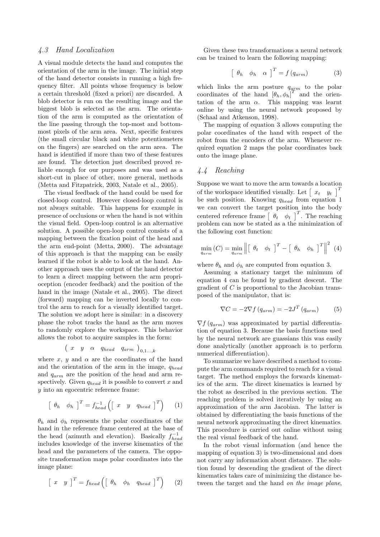#### 4.3 Hand Localization

A visual module detects the hand and computes the orientation of the arm in the image. The initial step of the hand detector consists in running a high frequency filter. All points whose frequency is below a certain threshold (fixed a priori) are discarded. A blob detector is run on the resulting image and the biggest blob is selected as the arm. The orientation of the arm is computed as the orientation of the line passing through the top-most and bottommost pixels of the arm area. Next, specific features (the small circular black and white potentiometers on the fingers) are searched on the arm area. The hand is identified if more than two of these features are found. The detection just described proved reliable enough for our purposes and was used as a short-cut in place of other, more general, methods (Metta and Fitzpatrick, 2003, Natale et al., 2005).

The visual feedback of the hand could be used for closed-loop control. However closed-loop control is not always suitable. This happens for example in presence of occlusions or when the hand is not within the visual field. Open-loop control is an alternative solution. A possible open-loop control consists of a mapping between the fixation point of the head and the arm end-point (Metta, 2000). The advantage of this approach is that the mapping can be easily learned if the robot is able to look at the hand. Another approach uses the output of the hand detector to learn a direct mapping between the arm proprioception (encoder feedback) and the position of the hand in the image (Natale et al., 2005). The direct (forward) mapping can be inverted locally to control the arm to reach for a visually identified target. The solution we adopt here is similar: in a discovery phase the robot tracks the hand as the arm moves to randomly explore the workspace. This behavior allows the robot to acquire samples in the form: ¡

$$
\left(\begin{array}{ccc} x & y & \alpha & q_{head} & q_{arm} \end{array}\right)_{0,1...,k}
$$

where x, y and  $\alpha$  are the coordinates of the hand and the orientation of the arm in the image,  $q_{head}$ and  $q_{arm}$  are the position of the head and arm respectively. Given  $q_{head}$  it is possible to convert x and y into an egocentric reference frame:

$$
\left[\begin{array}{cc}\n\theta_h & \phi_h\n\end{array}\right]^T = f_{head}^{-1} \left(\left[\begin{array}{cc}x & y & q_{head}\end{array}\right]^T\right) \qquad (1)
$$

 $\theta_h$  and  $\phi_h$  represents the polar coordinates of the hand in the reference frame centered at the base of the head (azimuth and elevation). Basically  $f_{head}^{-1}$ includes knowledge of the inverse kinematics of the head and the parameters of the camera. The opposite transformation maps polar coordinates into the image plane:

$$
\begin{bmatrix} x & y \end{bmatrix}^T = f_{head} \left( \begin{bmatrix} \theta_h & \phi_h & q_{head} \end{bmatrix}^T \right) \tag{2}
$$

Given these two transformations a neural network can be trained to learn the following mapping:

$$
\left[\begin{array}{cc}\n\theta_h & \phi_h & \alpha\n\end{array}\right]^T = f\left(q_{arm}\right) \tag{3}
$$

which links the arm posture  $q_{arm}$  to the polar coordinates of the hand  $[\theta_h, \phi_h]^T$  and the orientation of the arm  $\alpha$ . This mapping was learnt online by using the neural network proposed by (Schaal and Atkenson, 1998).

The mapping of equation 3 allows computing the polar coordinates of the hand with respect of the robot from the encoders of the arm. Whenever required equation 2 maps the polar coordinates back onto the image plane.

## 4.4 Reaching

Suppose we want to move the arm towards a location suppose we want to move the arm towards a location<br>of the workspace identified visually. Let  $\begin{bmatrix} x_t & y_t \end{bmatrix}^T$ be such position. Knowing  $q_{head}$  from equation 1 we can convert the target position into the body centered reference frame  $\begin{bmatrix} \theta_t & \phi_t \end{bmatrix}^T$ . The reaching problem can now be stated as a the minimization of the following cost function:

$$
\min_{q_{arm}}(C) = \min_{q_{arm}} \left\| \begin{bmatrix} \theta_t & \phi_t \end{bmatrix}^T - \begin{bmatrix} \theta_h & \phi_h \end{bmatrix}^T \right\|^2 \tag{4}
$$

where  $\theta_h$  and  $\phi_h$  are computed from equation 3.

Assuming a stationary target the minimum of equation 4 can be found by gradient descent. The gradient of C is proportional to the Jacobian transposed of the manipulator, that is:

$$
\nabla C = -2\nabla f (q_{arm}) = -2J^T (q_{arm})
$$
 (5)

 $\nabla f(q_{arm})$  was approximated by partial differentiation of equation 3. Because the basis functions used by the neural network are guassians this was easily done analytically (another approach is to perform numerical differentiation).

To summarize we have described a method to compute the arm commands required to reach for a visual target. The method employs the forwards kinematics of the arm. The direct kinematics is learned by the robot as described in the previous section. The reaching problem is solved iteratively by using an approximation of the arm Jacobian. The latter is obtained by differentiating the basis functions of the neural network approximating the direct kinematics. This procedure is carried out online without using the real visual feedback of the hand.

In the robot visual information (and hence the mapping of equation 3) is two-dimensional and does not carry any information about distance. The solution found by descending the gradient of the direct kinematics takes care of minimizing the distance between the target and the hand on the image plane,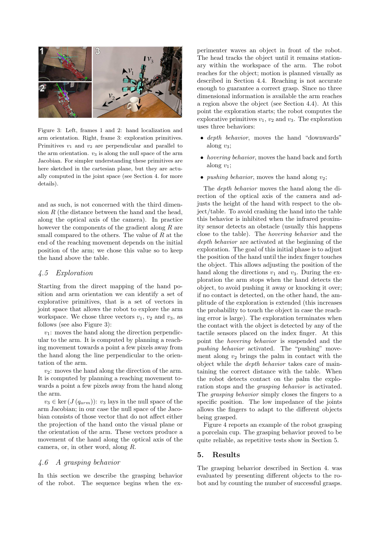

Figure 3: Left, frames 1 and 2: hand localization and arm orientation. Right, frame 3: exploration primitives. Primitives  $v_1$  and  $v_2$  are perpendicular and parallel to the arm orientation.  $v_3$  is along the null space of the arm Jacobian. For simpler understanding these primitives are here sketched in the cartesian plane, but they are actually computed in the joint space (see Section 4. for more details).

and as such, is not concerned with the third dimension  $R$  (the distance between the hand and the head, along the optical axis of the camera). In practice however the components of the gradient along R are small compared to the others. The value of  $R$  at the end of the reaching movement depends on the initial position of the arm; we chose this value so to keep the hand above the table.

## 4.5 Exploration

Starting from the direct mapping of the hand position and arm orientation we can identify a set of explorative primitives, that is a set of vectors in joint space that allows the robot to explore the arm workspace. We chose three vectors  $v_1$ ,  $v_2$  and  $v_3$ , as follows (see also Figure 3):

 $v_1$ : moves the hand along the direction perpendicular to the arm. It is computed by planning a reaching movement towards a point a few pixels away from the hand along the line perpendicular to the orientation of the arm.

 $v_2$ : moves the hand along the direction of the arm. It is computed by planning a reaching movement towards a point a few pixels away from the hand along the arm.

 $v_3 \in \text{ker} (J (q_{arm}))$ :  $v_3$  lays in the null space of the arm Jacobian; in our case the null space of the Jacobian consists of those vector that do not affect either the projection of the hand onto the visual plane or the orientation of the arm. These vectors produce a movement of the hand along the optical axis of the camera, or, in other word, along R.

# 4.6 A grasping behavior

In this section we describe the grasping behavior of the robot. The sequence begins when the experimenter waves an object in front of the robot. The head tracks the object until it remains stationary within the workspace of the arm. The robot reaches for the object; motion is planned visually as described in Section 4.4. Reaching is not accurate enough to guarantee a correct grasp. Since no three dimensional information is available the arm reaches a region above the object (see Section 4.4). At this point the exploration starts; the robot computes the explorative primitives  $v_1, v_2$  and  $v_3$ . The exploration uses three behaviors:

- depth behavior, moves the hand "downwards" along  $v_3$ ;
- hovering behavior, moves the hand back and forth along  $v_1$ ;
- *pushing behavior*, moves the hand along  $v_2$ ;

The depth behavior moves the hand along the direction of the optical axis of the camera and adjusts the height of the hand with respect to the object/table. To avoid crashing the hand into the table this behavior is inhibited when the infrared proximity sensor detects an obstacle (usually this happens close to the table). The hovering behavior and the depth behavior are activated at the beginning of the exploration. The goal of this initial phase is to adjust the position of the hand until the index finger touches the object. This allows adjusting the position of the hand along the directions  $v_1$  and  $v_3$ . During the exploration the arm stops when the hand detects the object, to avoid pushing it away or knocking it over; if no contact is detected, on the other hand, the amplitude of the exploration is extended (this increases the probability to touch the object in case the reaching error is large). The exploration terminates when the contact with the object is detected by any of the tactile sensors placed on the index finger. At this point the hovering behavior is suspended and the pushing behavior activated. The "pushing" movement along  $v_2$  brings the palm in contact with the object while the depth behavior takes care of maintaining the correct distance with the table. When the robot detects contact on the palm the exploration stops and the grasping behavior is activated. The grasping behavior simply closes the fingers to a specific position. The low impedance of the joints allows the fingers to adapt to the different objects being grasped.

Figure 4 reports an example of the robot grasping a porcelain cup. The grasping behavior proved to be quite reliable, as repetitive tests show in Section 5.

## 5. Results

The grasping behavior described in Section 4. was evaluated by presenting different objects to the robot and by counting the number of successful grasps.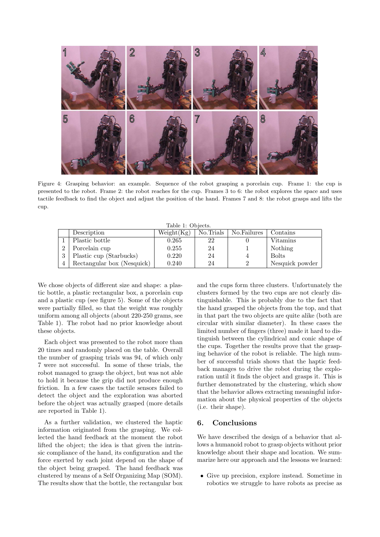

Figure 4: Grasping behavior: an example. Sequence of the robot grasping a porcelain cup. Frame 1: the cup is presented to the robot. Frame 2: the robot reaches for the cup. Frames 3 to 6: the robot explores the space and uses tactile feedback to find the object and adjust the position of the hand. Frames 7 and 8: the robot grasps and lifts the cup.

Table 1: Objects.

|          | Description                | Weight(Kg) | No.Trials | No.Failures | Contains        |
|----------|----------------------------|------------|-----------|-------------|-----------------|
|          | Plastic bottle             | 0.265      | 22        |             | Vitamins        |
| $\Omega$ | Porcelain cup              | 0.255      | 24        |             | Nothing         |
| 3        | Plastic cup (Starbucks)    | 0.220      | 24        |             | <b>Bolts</b>    |
|          | Rectangular box (Nesquick) | 0.240      | 24        |             | Nesquick powder |

We chose objects of different size and shape: a plastic bottle, a plastic rectangular box, a porcelain cup and a plastic cup (see figure 5). Some of the objects were partially filled, so that the weight was roughly uniform among all objects (about 220-250 grams, see Table 1). The robot had no prior knowledge about these objects.

Each object was presented to the robot more than 20 times and randomly placed on the table. Overall the number of grasping trials was 94, of which only 7 were not successful. In some of these trials, the robot managed to grasp the object, but was not able to hold it because the grip did not produce enough friction. In a few cases the tactile sensors failed to detect the object and the exploration was aborted before the object was actually grasped (more details are reported in Table 1).

As a further validation, we clustered the haptic information originated from the grasping. We collected the hand feedback at the moment the robot lifted the object; the idea is that given the intrinsic compliance of the hand, its configuration and the force exerted by each joint depend on the shape of the object being grasped. The hand feedback was clustered by means of a Self Organizing Map (SOM). The results show that the bottle, the rectangular box

and the cups form three clusters. Unfortunately the clusters formed by the two cups are not clearly distinguishable. This is probably due to the fact that the hand grasped the objects from the top, and that in that part the two objects are quite alike (both are circular with similar diameter). In these cases the limited number of fingers (three) made it hard to distinguish between the cylindrical and conic shape of the cups. Together the results prove that the grasping behavior of the robot is reliable. The high number of successful trials shows that the haptic feedback manages to drive the robot during the exploration until it finds the object and grasps it. This is further demonstrated by the clustering, which show that the behavior allows extracting meaningful information about the physical properties of the objects (i.e. their shape).

# 6. Conclusions

We have described the design of a behavior that allows a humanoid robot to grasp objects without prior knowledge about their shape and location. We summarize here our approach and the lessons we learned:

• Give up precision, explore instead. Sometime in robotics we struggle to have robots as precise as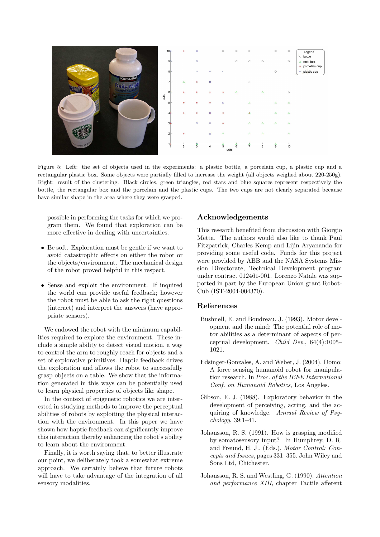

Figure 5: Left: the set of objects used in the experiments: a plastic bottle, a porcelain cup, a plastic cup and a rectangular plastic box. Some objects were partially filled to increase the weight (all objects weighed about 220-250g). Right: result of the clustering. Black circles, green triangles, red stars and blue squares represent respectively the bottle, the rectangular box and the porcelain and the plastic cups. The two cups are not clearly separated because have similar shape in the area where they were grasped.

possible in performing the tasks for which we program them. We found that exploration can be more effective in dealing with uncertainties.

- Be soft. Exploration must be gentle if we want to avoid catastrophic effects on either the robot or the objects/environment. The mechanical design of the robot proved helpful in this respect.
- Sense and exploit the environment. If inquired the world can provide useful feedback; however the robot must be able to ask the right questions (interact) and interpret the answers (have appropriate sensors).

We endowed the robot with the minimum capabilities required to explore the environment. These include a simple ability to detect visual motion, a way to control the arm to roughly reach for objects and a set of explorative primitives. Haptic feedback drives the exploration and allows the robot to successfully grasp objects on a table. We show that the information generated in this ways can be potentially used to learn physical properties of objects like shape.

In the context of epigenetic robotics we are interested in studying methods to improve the perceptual abilities of robots by exploiting the physical interaction with the environment. In this paper we have shown how haptic feedback can significantly improve this interaction thereby enhancing the robot's ability to learn about the environment.

Finally, it is worth saying that, to better illustrate our point, we deliberately took a somewhat extreme approach. We certainly believe that future robots will have to take advantage of the integration of all sensory modalities.

# Acknowledgements

This research benefited from discussion with Giorgio Metta. The authors would also like to thank Paul Fitzpatrick, Charles Kemp and Lijin Aryananda for providing some useful code. Funds for this project were provided by ABB and the NASA Systems Mission Directorate, Technical Development program under contract 012461-001. Lorenzo Natale was supported in part by the European Union grant Robot-Cub (IST-2004-004370).

#### References

- Bushnell, E. and Boudreau, J. (1993). Motor development and the mind: The potential role of motor abilities as a determinant of aspects of perceptual development. Child Dev., 64(4):1005– 1021.
- Edsinger-Gonzales, A. and Weber, J. (2004). Domo: A force sensing humanoid robot for manipulation research. In Proc. of the IEEE International Conf. on Humanoid Robotics, Los Angeles.
- Gibson, E. J. (1988). Exploratory behavior in the development of perceiving, acting, and the acquiring of knowledge. Annual Review of Psychology, 39:1–41.
- Johansson, R. S. (1991). How is grasping modified by somatosensory input? In Humphrey, D. R. and Freund, H. J., (Eds.), Motor Control: Concepts and Issues, pages 331–355. John Wiley and Sons Ltd, Chichester.
- Johansson, R. S. and Westling, G. (1990). Attention and performance XIII, chapter Tactile afferent